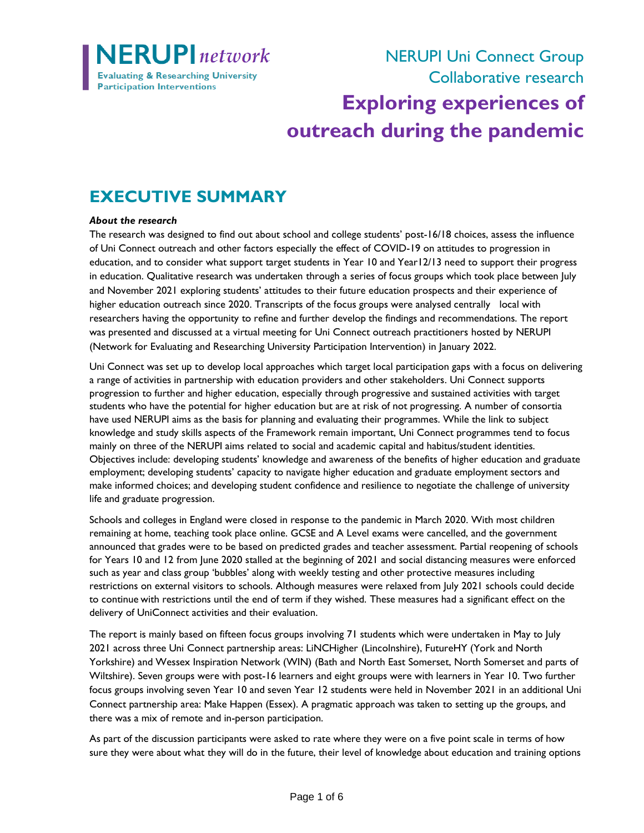

NERUPI Uni Connect Group Collaborative research **Exploring experiences of**

# **outreach during the pandemic**

## **EXECUTIVE SUMMARY**

#### *About the research*

The research was designed to find out about school and college students' post-16/18 choices, assess the influence of Uni Connect outreach and other factors especially the effect of COVID-19 on attitudes to progression in education, and to consider what support target students in Year 10 and Year12/13 need to support their progress in education. Qualitative research was undertaken through a series of focus groups which took place between July and November 2021 exploring students' attitudes to their future education prospects and their experience of higher education outreach since 2020. Transcripts of the focus groups were analysed centrally local with researchers having the opportunity to refine and further develop the findings and recommendations. The report was presented and discussed at a virtual meeting for Uni Connect outreach practitioners hosted by NERUPI (Network for Evaluating and Researching University Participation Intervention) in January 2022.

Uni Connect was set up to develop local approaches which target local participation gaps with a focus on delivering a range of activities in partnership with education providers and other stakeholders. Uni Connect supports progression to further and higher education, especially through progressive and sustained activities with target students who have the potential for higher education but are at risk of not progressing. A number of consortia have used NERUPI aims as the basis for planning and evaluating their programmes. While the link to subject knowledge and study skills aspects of the Framework remain important, Uni Connect programmes tend to focus mainly on three of the NERUPI aims related to social and academic capital and habitus/student identities. Objectives include: developing students' knowledge and awareness of the benefits of higher education and graduate employment; developing students' capacity to navigate higher education and graduate employment sectors and make informed choices; and developing student confidence and resilience to negotiate the challenge of university life and graduate progression.

Schools and colleges in England were closed in response to the pandemic in March 2020. With most children remaining at home, teaching took place online. GCSE and A Level exams were cancelled, and the government announced that grades were to be based on predicted grades and teacher assessment. Partial reopening of schools for Years 10 and 12 from June 2020 stalled at the beginning of 2021 and social distancing measures were enforced such as year and class group 'bubbles' along with weekly testing and other protective measures including restrictions on external visitors to schools. Although measures were relaxed from July 2021 schools could decide to continue with restrictions until the end of term if they wished. These measures had a significant effect on the delivery of UniConnect activities and their evaluation.

The report is mainly based on fifteen focus groups involving 71 students which were undertaken in May to July 2021 across three Uni Connect partnership areas: LiNCHigher (Lincolnshire), FutureHY (York and North Yorkshire) and Wessex Inspiration Network (WIN) (Bath and North East Somerset, North Somerset and parts of Wiltshire). Seven groups were with post-16 learners and eight groups were with learners in Year 10. Two further focus groups involving seven Year 10 and seven Year 12 students were held in November 2021 in an additional Uni Connect partnership area: Make Happen (Essex). A pragmatic approach was taken to setting up the groups, and there was a mix of remote and in-person participation.

As part of the discussion participants were asked to rate where they were on a five point scale in terms of how sure they were about what they will do in the future, their level of knowledge about education and training options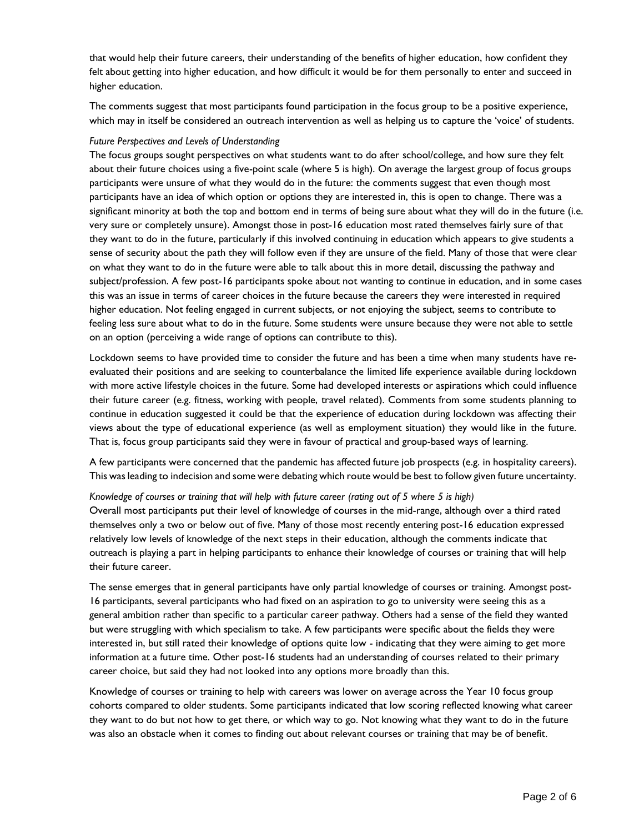that would help their future careers, their understanding of the benefits of higher education, how confident they felt about getting into higher education, and how difficult it would be for them personally to enter and succeed in higher education.

The comments suggest that most participants found participation in the focus group to be a positive experience, which may in itself be considered an outreach intervention as well as helping us to capture the 'voice' of students.

#### *Future Perspectives and Levels of Understanding*

The focus groups sought perspectives on what students want to do after school/college, and how sure they felt about their future choices using a five-point scale (where 5 is high). On average the largest group of focus groups participants were unsure of what they would do in the future: the comments suggest that even though most participants have an idea of which option or options they are interested in, this is open to change. There was a significant minority at both the top and bottom end in terms of being sure about what they will do in the future (i.e. very sure or completely unsure). Amongst those in post-16 education most rated themselves fairly sure of that they want to do in the future, particularly if this involved continuing in education which appears to give students a sense of security about the path they will follow even if they are unsure of the field. Many of those that were clear on what they want to do in the future were able to talk about this in more detail, discussing the pathway and subject/profession. A few post-16 participants spoke about not wanting to continue in education, and in some cases this was an issue in terms of career choices in the future because the careers they were interested in required higher education. Not feeling engaged in current subjects, or not enjoying the subject, seems to contribute to feeling less sure about what to do in the future. Some students were unsure because they were not able to settle on an option (perceiving a wide range of options can contribute to this).

Lockdown seems to have provided time to consider the future and has been a time when many students have reevaluated their positions and are seeking to counterbalance the limited life experience available during lockdown with more active lifestyle choices in the future. Some had developed interests or aspirations which could influence their future career (e.g. fitness, working with people, travel related). Comments from some students planning to continue in education suggested it could be that the experience of education during lockdown was affecting their views about the type of educational experience (as well as employment situation) they would like in the future. That is, focus group participants said they were in favour of practical and group-based ways of learning.

A few participants were concerned that the pandemic has affected future job prospects (e.g. in hospitality careers). This was leading to indecision and some were debating which route would be best to follow given future uncertainty.

*Knowledge of courses or training that will help with future career (rating out of 5 where 5 is high)* Overall most participants put their level of knowledge of courses in the mid-range, although over a third rated themselves only a two or below out of five. Many of those most recently entering post-16 education expressed relatively low levels of knowledge of the next steps in their education, although the comments indicate that outreach is playing a part in helping participants to enhance their knowledge of courses or training that will help their future career.

The sense emerges that in general participants have only partial knowledge of courses or training. Amongst post-16 participants, several participants who had fixed on an aspiration to go to university were seeing this as a general ambition rather than specific to a particular career pathway. Others had a sense of the field they wanted but were struggling with which specialism to take. A few participants were specific about the fields they were interested in, but still rated their knowledge of options quite low - indicating that they were aiming to get more information at a future time. Other post-16 students had an understanding of courses related to their primary career choice, but said they had not looked into any options more broadly than this.

Knowledge of courses or training to help with careers was lower on average across the Year 10 focus group cohorts compared to older students. Some participants indicated that low scoring reflected knowing what career they want to do but not how to get there, or which way to go. Not knowing what they want to do in the future was also an obstacle when it comes to finding out about relevant courses or training that may be of benefit.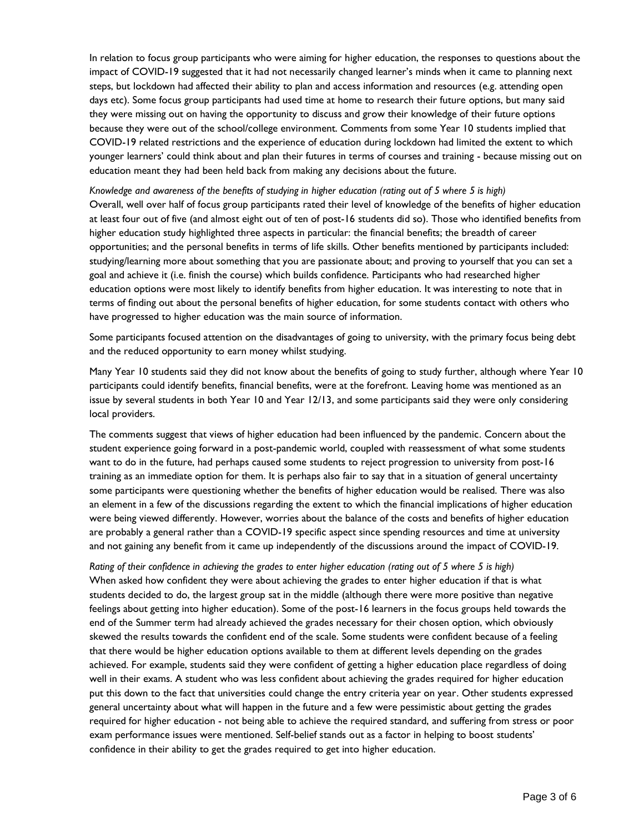In relation to focus group participants who were aiming for higher education, the responses to questions about the impact of COVID-19 suggested that it had not necessarily changed learner's minds when it came to planning next steps, but lockdown had affected their ability to plan and access information and resources (e.g. attending open days etc). Some focus group participants had used time at home to research their future options, but many said they were missing out on having the opportunity to discuss and grow their knowledge of their future options because they were out of the school/college environment. Comments from some Year 10 students implied that COVID-19 related restrictions and the experience of education during lockdown had limited the extent to which younger learners' could think about and plan their futures in terms of courses and training - because missing out on education meant they had been held back from making any decisions about the future.

*Knowledge and awareness of the benefits of studying in higher education (rating out of 5 where 5 is high)* Overall, well over half of focus group participants rated their level of knowledge of the benefits of higher education at least four out of five (and almost eight out of ten of post-16 students did so). Those who identified benefits from higher education study highlighted three aspects in particular: the financial benefits; the breadth of career opportunities; and the personal benefits in terms of life skills. Other benefits mentioned by participants included: studying/learning more about something that you are passionate about; and proving to yourself that you can set a goal and achieve it (i.e. finish the course) which builds confidence. Participants who had researched higher education options were most likely to identify benefits from higher education. It was interesting to note that in terms of finding out about the personal benefits of higher education, for some students contact with others who have progressed to higher education was the main source of information.

Some participants focused attention on the disadvantages of going to university, with the primary focus being debt and the reduced opportunity to earn money whilst studying.

Many Year 10 students said they did not know about the benefits of going to study further, although where Year 10 participants could identify benefits, financial benefits, were at the forefront. Leaving home was mentioned as an issue by several students in both Year 10 and Year 12/13, and some participants said they were only considering local providers.

The comments suggest that views of higher education had been influenced by the pandemic. Concern about the student experience going forward in a post-pandemic world, coupled with reassessment of what some students want to do in the future, had perhaps caused some students to reject progression to university from post-16 training as an immediate option for them. It is perhaps also fair to say that in a situation of general uncertainty some participants were questioning whether the benefits of higher education would be realised. There was also an element in a few of the discussions regarding the extent to which the financial implications of higher education were being viewed differently. However, worries about the balance of the costs and benefits of higher education are probably a general rather than a COVID-19 specific aspect since spending resources and time at university and not gaining any benefit from it came up independently of the discussions around the impact of COVID-19.

*Rating of their confidence in achieving the grades to enter higher education (rating out of 5 where 5 is high)* When asked how confident they were about achieving the grades to enter higher education if that is what students decided to do, the largest group sat in the middle (although there were more positive than negative feelings about getting into higher education). Some of the post-16 learners in the focus groups held towards the end of the Summer term had already achieved the grades necessary for their chosen option, which obviously skewed the results towards the confident end of the scale. Some students were confident because of a feeling that there would be higher education options available to them at different levels depending on the grades achieved. For example, students said they were confident of getting a higher education place regardless of doing well in their exams. A student who was less confident about achieving the grades required for higher education put this down to the fact that universities could change the entry criteria year on year. Other students expressed general uncertainty about what will happen in the future and a few were pessimistic about getting the grades required for higher education - not being able to achieve the required standard, and suffering from stress or poor exam performance issues were mentioned. Self-belief stands out as a factor in helping to boost students' confidence in their ability to get the grades required to get into higher education.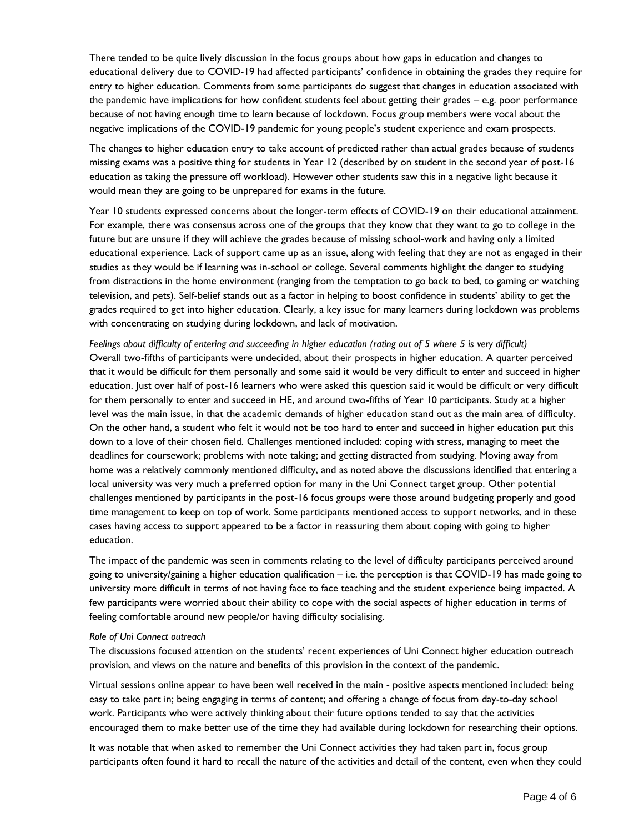There tended to be quite lively discussion in the focus groups about how gaps in education and changes to educational delivery due to COVID-19 had affected participants' confidence in obtaining the grades they require for entry to higher education. Comments from some participants do suggest that changes in education associated with the pandemic have implications for how confident students feel about getting their grades – e.g. poor performance because of not having enough time to learn because of lockdown. Focus group members were vocal about the negative implications of the COVID-19 pandemic for young people's student experience and exam prospects.

The changes to higher education entry to take account of predicted rather than actual grades because of students missing exams was a positive thing for students in Year 12 (described by on student in the second year of post-16 education as taking the pressure off workload). However other students saw this in a negative light because it would mean they are going to be unprepared for exams in the future.

Year 10 students expressed concerns about the longer-term effects of COVID-19 on their educational attainment. For example, there was consensus across one of the groups that they know that they want to go to college in the future but are unsure if they will achieve the grades because of missing school-work and having only a limited educational experience. Lack of support came up as an issue, along with feeling that they are not as engaged in their studies as they would be if learning was in-school or college. Several comments highlight the danger to studying from distractions in the home environment (ranging from the temptation to go back to bed, to gaming or watching television, and pets). Self-belief stands out as a factor in helping to boost confidence in students' ability to get the grades required to get into higher education. Clearly, a key issue for many learners during lockdown was problems with concentrating on studying during lockdown, and lack of motivation.

*Feelings about difficulty of entering and succeeding in higher education (rating out of 5 where 5 is very difficult)* Overall two-fifths of participants were undecided, about their prospects in higher education. A quarter perceived that it would be difficult for them personally and some said it would be very difficult to enter and succeed in higher education. Just over half of post-16 learners who were asked this question said it would be difficult or very difficult for them personally to enter and succeed in HE, and around two-fifths of Year 10 participants. Study at a higher level was the main issue, in that the academic demands of higher education stand out as the main area of difficulty. On the other hand, a student who felt it would not be too hard to enter and succeed in higher education put this down to a love of their chosen field. Challenges mentioned included: coping with stress, managing to meet the deadlines for coursework; problems with note taking; and getting distracted from studying. Moving away from home was a relatively commonly mentioned difficulty, and as noted above the discussions identified that entering a local university was very much a preferred option for many in the Uni Connect target group. Other potential challenges mentioned by participants in the post-16 focus groups were those around budgeting properly and good time management to keep on top of work. Some participants mentioned access to support networks, and in these cases having access to support appeared to be a factor in reassuring them about coping with going to higher education.

The impact of the pandemic was seen in comments relating to the level of difficulty participants perceived around going to university/gaining a higher education qualification – i.e. the perception is that COVID-19 has made going to university more difficult in terms of not having face to face teaching and the student experience being impacted. A few participants were worried about their ability to cope with the social aspects of higher education in terms of feeling comfortable around new people/or having difficulty socialising.

#### *Role of Uni Connect outreach*

The discussions focused attention on the students' recent experiences of Uni Connect higher education outreach provision, and views on the nature and benefits of this provision in the context of the pandemic.

Virtual sessions online appear to have been well received in the main - positive aspects mentioned included: being easy to take part in; being engaging in terms of content; and offering a change of focus from day-to-day school work. Participants who were actively thinking about their future options tended to say that the activities encouraged them to make better use of the time they had available during lockdown for researching their options.

It was notable that when asked to remember the Uni Connect activities they had taken part in, focus group participants often found it hard to recall the nature of the activities and detail of the content, even when they could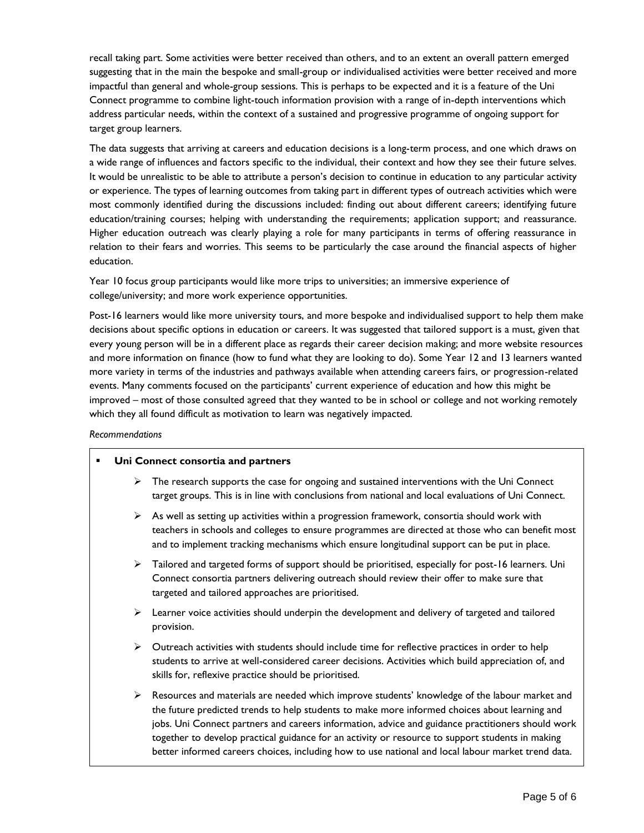recall taking part. Some activities were better received than others, and to an extent an overall pattern emerged suggesting that in the main the bespoke and small-group or individualised activities were better received and more impactful than general and whole-group sessions. This is perhaps to be expected and it is a feature of the Uni Connect programme to combine light-touch information provision with a range of in-depth interventions which address particular needs, within the context of a sustained and progressive programme of ongoing support for target group learners.

The data suggests that arriving at careers and education decisions is a long-term process, and one which draws on a wide range of influences and factors specific to the individual, their context and how they see their future selves. It would be unrealistic to be able to attribute a person's decision to continue in education to any particular activity or experience. The types of learning outcomes from taking part in different types of outreach activities which were most commonly identified during the discussions included: finding out about different careers; identifying future education/training courses; helping with understanding the requirements; application support; and reassurance. Higher education outreach was clearly playing a role for many participants in terms of offering reassurance in relation to their fears and worries. This seems to be particularly the case around the financial aspects of higher education.

Year 10 focus group participants would like more trips to universities; an immersive experience of college/university; and more work experience opportunities.

Post-16 learners would like more university tours, and more bespoke and individualised support to help them make decisions about specific options in education or careers. It was suggested that tailored support is a must, given that every young person will be in a different place as regards their career decision making; and more website resources and more information on finance (how to fund what they are looking to do). Some Year 12 and 13 learners wanted more variety in terms of the industries and pathways available when attending careers fairs, or progression-related events. Many comments focused on the participants' current experience of education and how this might be improved – most of those consulted agreed that they wanted to be in school or college and not working remotely which they all found difficult as motivation to learn was negatively impacted.

*Recommendations*

| Uni Connect consortia and partners<br>٠ |   |                                                                                                                                                                                                                                                                                                                                                                                                         |
|-----------------------------------------|---|---------------------------------------------------------------------------------------------------------------------------------------------------------------------------------------------------------------------------------------------------------------------------------------------------------------------------------------------------------------------------------------------------------|
|                                         | ➤ | The research supports the case for ongoing and sustained interventions with the Uni Connect<br>target groups. This is in line with conclusions from national and local evaluations of Uni Connect.                                                                                                                                                                                                      |
|                                         | ≻ | As well as setting up activities within a progression framework, consortia should work with<br>teachers in schools and colleges to ensure programmes are directed at those who can benefit most<br>and to implement tracking mechanisms which ensure longitudinal support can be put in place.                                                                                                          |
|                                         |   | $\triangleright$ Tailored and targeted forms of support should be prioritised, especially for post-16 learners. Uni<br>Connect consortia partners delivering outreach should review their offer to make sure that<br>targeted and tailored approaches are prioritised.                                                                                                                                  |
|                                         |   | $\triangleright$ Learner voice activities should underpin the development and delivery of targeted and tailored<br>provision.                                                                                                                                                                                                                                                                           |
|                                         | ➤ | Outreach activities with students should include time for reflective practices in order to help<br>students to arrive at well-considered career decisions. Activities which build appreciation of, and<br>skills for, reflexive practice should be prioritised.                                                                                                                                         |
|                                         | ➤ | Resources and materials are needed which improve students' knowledge of the labour market and<br>the future predicted trends to help students to make more informed choices about learning and<br>jobs. Uni Connect partners and careers information, advice and guidance practitioners should work<br>together to develop practical guidance for an activity or resource to support students in making |

better informed careers choices, including how to use national and local labour market trend data.